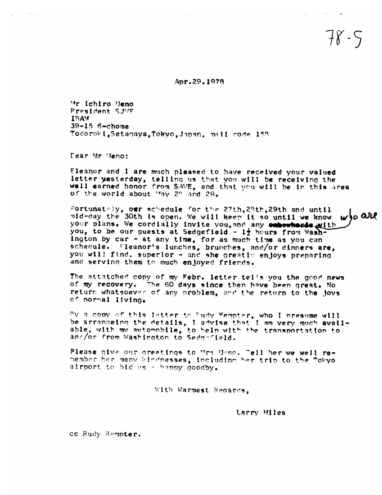Apr.29.1978

Mr Ichiro Meno President SJVF IRAM  $39 - 15$  6-chome Todoroki, Setagaya, Tokyo, Japan, mail code 158

Dear Mr Heno:

Eleanor and I are much pleased to have received your valued letter yesterday, telling us that you will be receiving the well earned honor from SAVE, and that you will be in this area of the world about May 28 and 29.

Fortunately, our schedule for the 27th.28th.29th and until who are mid-day the 30th is open. We will keep it so until we know your plans. We cordially invite you, and any embowheres with you, to be our guests at Sedgefield - 12 hours from Washington by car - at any time, for as much time as you can schedule. Eleanor's lunches, brunches, and/or dinners are, you will find, superior - and she greatly enjoys preparing and serving them to much enjoyed friends.

The attatched copy of my Febr. letter tells you the good news of my recovery. The 60 days since then have been great. No return whatsoever of any problem, and the return to the lovs of normal living.

By a copy of this letter to Budy Kempter, who I presume will be arrangeing the details. I advise that I am very much available, with my automobile, to help with the transportation to and/or from Washington to Sedgefield.

Please give our greetings to Mrs Uene. Tell her we well remember her many kindnesses, including her trip to the "okyoairport to bid us a happy goodby.

With Warmest Regards.

Larry Miles

cc Rudy Kempter.